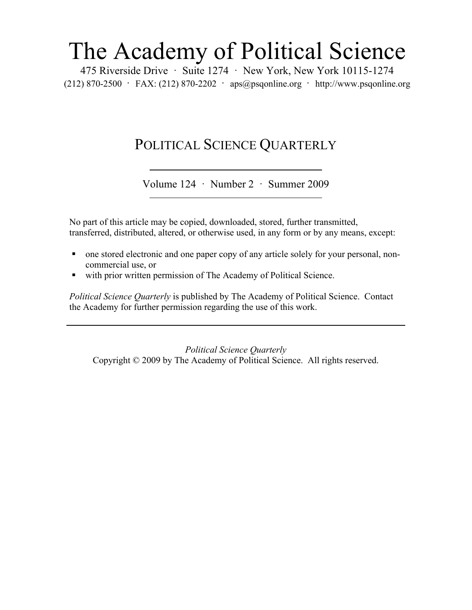## The Academy of Political Science

475 Riverside Drive · Suite 1274 · New York, New York 10115-1274 (212) 870-2500 · FAX: (212) 870-2202 · aps@psqonline.org · http://www.psqonline.org

## POLITICAL SCIENCE QUARTERLY

Volume 124 · Number 2 · Summer 2009

No part of this article may be copied, downloaded, stored, further transmitted, transferred, distributed, altered, or otherwise used, in any form or by any means, except:

- one stored electronic and one paper copy of any article solely for your personal, noncommercial use, or
- with prior written permission of The Academy of Political Science.

*Political Science Quarterly* is published by The Academy of Political Science. Contact the Academy for further permission regarding the use of this work.

*Political Science Quarterly*  Copyright © 2009 by The Academy of Political Science. All rights reserved.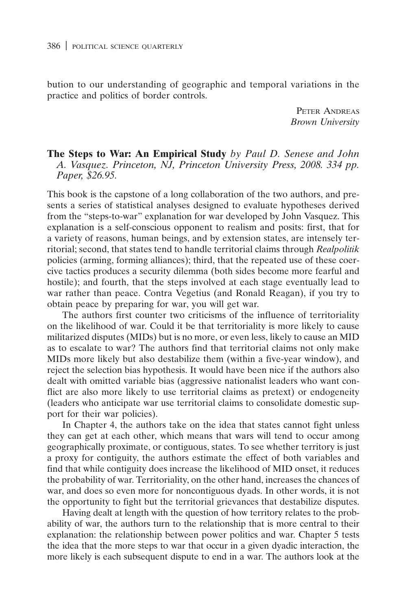bution to our understanding of geographic and temporal variations in the practice and politics of border controls.

> PETER ANDREAS Brown University

The Steps to War: An Empirical Study by Paul D. Senese and John A. Vasquez. Princeton, NJ, Princeton University Press, 2008. 334 pp. Paper, \$26.95.

This book is the capstone of a long collaboration of the two authors, and presents a series of statistical analyses designed to evaluate hypotheses derived from the "steps-to-war" explanation for war developed by John Vasquez. This explanation is a self-conscious opponent to realism and posits: first, that for a variety of reasons, human beings, and by extension states, are intensely territorial; second, that states tend to handle territorial claims through Realpolitik policies (arming, forming alliances); third, that the repeated use of these coercive tactics produces a security dilemma (both sides become more fearful and hostile); and fourth, that the steps involved at each stage eventually lead to war rather than peace. Contra Vegetius (and Ronald Reagan), if you try to obtain peace by preparing for war, you will get war.

The authors first counter two criticisms of the influence of territoriality on the likelihood of war. Could it be that territoriality is more likely to cause militarized disputes (MIDs) but is no more, or even less, likely to cause an MID as to escalate to war? The authors find that territorial claims not only make MIDs more likely but also destabilize them (within a five-year window), and reject the selection bias hypothesis. It would have been nice if the authors also dealt with omitted variable bias (aggressive nationalist leaders who want conflict are also more likely to use territorial claims as pretext) or endogeneity (leaders who anticipate war use territorial claims to consolidate domestic support for their war policies).

In Chapter 4, the authors take on the idea that states cannot fight unless they can get at each other, which means that wars will tend to occur among geographically proximate, or contiguous, states. To see whether territory is just a proxy for contiguity, the authors estimate the effect of both variables and find that while contiguity does increase the likelihood of MID onset, it reduces the probability of war. Territoriality, on the other hand, increases the chances of war, and does so even more for noncontiguous dyads. In other words, it is not the opportunity to fight but the territorial grievances that destabilize disputes.

Having dealt at length with the question of how territory relates to the probability of war, the authors turn to the relationship that is more central to their explanation: the relationship between power politics and war. Chapter 5 tests the idea that the more steps to war that occur in a given dyadic interaction, the more likely is each subsequent dispute to end in a war. The authors look at the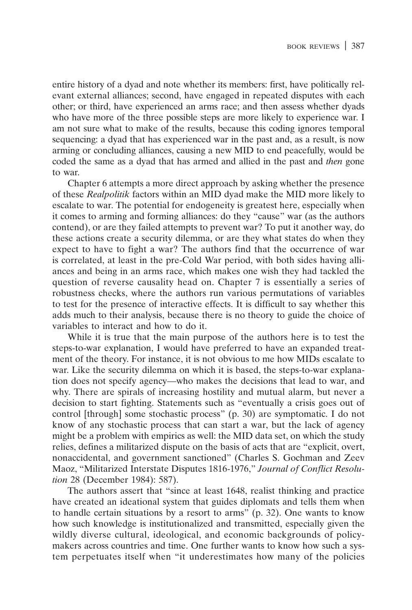entire history of a dyad and note whether its members: first, have politically relevant external alliances; second, have engaged in repeated disputes with each other; or third, have experienced an arms race; and then assess whether dyads who have more of the three possible steps are more likely to experience war. I am not sure what to make of the results, because this coding ignores temporal sequencing: a dyad that has experienced war in the past and, as a result, is now arming or concluding alliances, causing a new MID to end peacefully, would be coded the same as a dyad that has armed and allied in the past and then gone to war.

Chapter 6 attempts a more direct approach by asking whether the presence of these Realpolitik factors within an MID dyad make the MID more likely to escalate to war. The potential for endogeneity is greatest here, especially when it comes to arming and forming alliances: do they "cause" war (as the authors contend), or are they failed attempts to prevent war? To put it another way, do these actions create a security dilemma, or are they what states do when they expect to have to fight a war? The authors find that the occurrence of war is correlated, at least in the pre-Cold War period, with both sides having alliances and being in an arms race, which makes one wish they had tackled the question of reverse causality head on. Chapter 7 is essentially a series of robustness checks, where the authors run various permutations of variables to test for the presence of interactive effects. It is difficult to say whether this adds much to their analysis, because there is no theory to guide the choice of variables to interact and how to do it.

While it is true that the main purpose of the authors here is to test the steps-to-war explanation, I would have preferred to have an expanded treatment of the theory. For instance, it is not obvious to me how MIDs escalate to war. Like the security dilemma on which it is based, the steps-to-war explanation does not specify agency—who makes the decisions that lead to war, and why. There are spirals of increasing hostility and mutual alarm, but never a decision to start fighting. Statements such as "eventually a crisis goes out of control [through] some stochastic process" (p. 30) are symptomatic. I do not know of any stochastic process that can start a war, but the lack of agency might be a problem with empirics as well: the MID data set, on which the study relies, defines a militarized dispute on the basis of acts that are "explicit, overt, nonaccidental, and government sanctioned" (Charles S. Gochman and Zeev Maoz, "Militarized Interstate Disputes 1816-1976," Journal of Conflict Resolution 28 (December 1984): 587).

The authors assert that "since at least 1648, realist thinking and practice have created an ideational system that guides diplomats and tells them when to handle certain situations by a resort to arms" (p. 32). One wants to know how such knowledge is institutionalized and transmitted, especially given the wildly diverse cultural, ideological, and economic backgrounds of policymakers across countries and time. One further wants to know how such a system perpetuates itself when "it underestimates how many of the policies